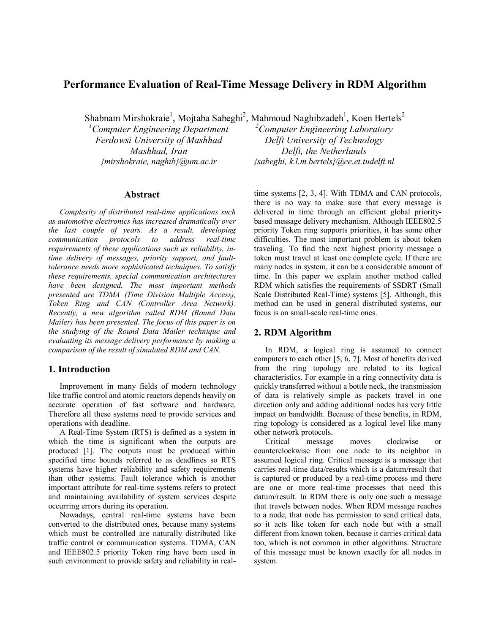# **Performance Evaluation of Real-Time Message Delivery in RDM Algorithm**

Shabnam Mirshokraie<sup>1</sup>, Mojtaba Sabeghi<sup>2</sup>, Mahmoud Naghibzadeh<sup>1</sup>, Koen Bertels<sup>2</sup>

*1 Computer Engineering Department Ferdowsi University of Mashhad Mashhad, Iran {mirshokraie, naghib}@um.ac.ir* 

#### **Abstract**

*Complexity of distributed real-time applications such as automotive electronics has increased dramatically over the last couple of years. As a result, developing communication protocols to address real-time requirements of these applications such as reliability, intime delivery of messages, priority support, and faulttolerance needs more sophisticated techniques. To satisfy these requirements, special communication architectures have been designed. The most important methods presented are TDMA (Time Division Multiple Access), Token Ring and CAN (Controller Area Network). Recently, a new algorithm called RDM (Round Data Mailer) has been presented. The focus of this paper is on the studying of the Round Data Mailer technique and evaluating its message delivery performance by making a comparison of the result of simulated RDM and CAN.* 

## **1. Introduction**

Improvement in many fields of modern technology like traffic control and atomic reactors depends heavily on accurate operation of fast software and hardware. Therefore all these systems need to provide services and operations with deadline.

A Real-Time System (RTS) is defined as a system in which the time is significant when the outputs are produced [1]. The outputs must be produced within specified time bounds referred to as deadlines so RTS systems have higher reliability and safety requirements than other systems. Fault tolerance which is another important attribute for real-time systems refers to protect and maintaining availability of system services despite occurring errors during its operation.

Nowadays, central real-time systems have been converted to the distributed ones, because many systems which must be controlled are naturally distributed like traffic control or communication systems. TDMA, CAN and IEEE802.5 priority Token ring have been used in such environment to provide safety and reliability in real-

*2 Computer Engineering Laboratory Delft University of Technology Delft, the Netherlands {sabeghi, k.l.m.bertels}@ce.et.tudelft.nl*

time systems [2, 3, 4]. With TDMA and CAN protocols, there is no way to make sure that every message is delivered in time through an efficient global prioritybased message delivery mechanism. Although IEEE802.5 priority Token ring supports priorities, it has some other difficulties. The most important problem is about token traveling. To find the next highest priority message a token must travel at least one complete cycle. If there are many nodes in system, it can be a considerable amount of time. In this paper we explain another method called RDM which satisfies the requirements of SSDRT (Small Scale Distributed Real-Time) systems [5]. Although, this method can be used in general distributed systems, our focus is on small-scale real-time ones.

### **2. RDM Algorithm**

In RDM, a logical ring is assumed to connect computers to each other [5, 6, 7]. Most of benefits derived from the ring topology are related to its logical characteristics. For example in a ring connectivity data is quickly transferred without a bottle neck, the transmission of data is relatively simple as packets travel in one direction only and adding additional nodes has very little impact on bandwidth. Because of these benefits, in RDM, ring topology is considered as a logical level like many other network protocols.

Critical message moves clockwise or counterclockwise from one node to its neighbor in assumed logical ring. Critical message is a message that carries real-time data/results which is a datum/result that is captured or produced by a real-time process and there are one or more real-time processes that need this datum/result. In RDM there is only one such a message that travels between nodes. When RDM message reaches to a node, that node has permission to send critical data, so it acts like token for each node but with a small different from known token, because it carries critical data too, which is not common in other algorithms. Structure of this message must be known exactly for all nodes in system.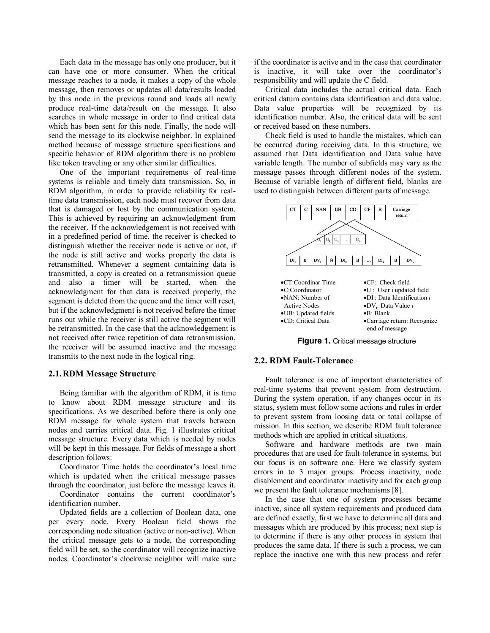Each data in the message has only one producer, but it can have one or more consumer. When the critical message reaches to a node, it makes a copy of the whole message, then removes or updates all data/results loaded by this node in the previous round and loads all newly produce real-time data/result on the message. It also searches in whole message in order to find critical data which has been sent for this node. Finally, the node will send the message to its clockwise neighbor. In explained method because of message structure specifications and specific behavior of RDM algorithm there is no problem like token traveling or any other similar difficulties.

One of the important requirements of real-time systems is reliable and timely data transmission. So, in RDM algorithm, in order to provide reliability for realtime data transmission, each node must recover from data that is damaged or lost by the communication system. This is achieved by requiring an acknowledgment from the receiver. If the acknowledgement is not received with in a predefined period of time, the receiver is checked to distinguish whether the receiver node is active or not, if the node is still active and works properly the data is retransmitted. Whenever a segment containing data is transmitted, a copy is created on a retransmission queue and also a timer will be started, when the acknowledgment for that data is received properly, the segment is deleted from the queue and the timer will reset, but if the acknowledgment is not received before the timer runs out while the receiver is still active the segment will be retransmitted. In the case that the acknowledgement is not received after twice repetition of data retransmission, the receiver will be assumed inactive and the message transmits to the next node in the logical ring.

### **2.1.RDM Message Structure**

Being familiar with the algorithm of RDM, it is time to know about RDM message structure and its specifications. As we described before there is only one RDM message for whole system that travels between nodes and carries critical data. Fig. 1 illustrates critical message structure. Every data which is needed by nodes will be kept in this message. For fields of message a short description follows:

Coordinator Time holds the coordinator's local time which is updated when the critical message passes through the coordinator, just before the message leaves it.

Coordinator contains the current coordinator's identification number.

Updated fields are a collection of Boolean data, one per every node. Every Boolean field shows the corresponding node situation (active or non-active). When the critical message gets to a node, the corresponding field will be set, so the coordinator will recognize inactive nodes. Coordinator's clockwise neighbor will make sure if the coordinator is active and in the case that coordinator is inactive, it will take over the coordinator's responsibility and will update the C field.

Critical data includes the actual critical data. Each critical datum contains data identification and data value. Data value properties will be recognized by its identification number. Also, the critical data will be sent or received based on these numbers.

Check field is used to handle the mistakes, which can be occurred during receiving data. In this structure, we assumed that Data identification and Data value have variable length. The number of subfields may vary as the message passes through different nodes of the system. Because of variable length of different field, blanks are used to distinguish between different parts of message.



**Figure 1.** Critical message structure

#### **2.2. RDM Fault-Tolerance**

Fault tolerance is one of important characteristics of real-time systems that prevent system from destruction. During the system operation, if any changes occur in its status, system must follow some actions and rules in order to prevent system from loosing data or total collapse of mission. In this section, we describe RDM fault tolerance methods which are applied in critical situations.

Software and hardware methods are two main procedures that are used for fault-tolerance in systems, but our focus is on software one. Here we classify system errors in to 3 major groups: Process inactivity, node disablement and coordinator inactivity and for each group we present the fault tolerance mechanisms [8].

In the case that one of system processes became inactive, since all system requirements and produced data are defined exactly, first we have to determine all data and messages which are produced by this process; next step is to determine if there is any other process in system that produces the same data. If there is such a process, we can replace the inactive one with this new process and refer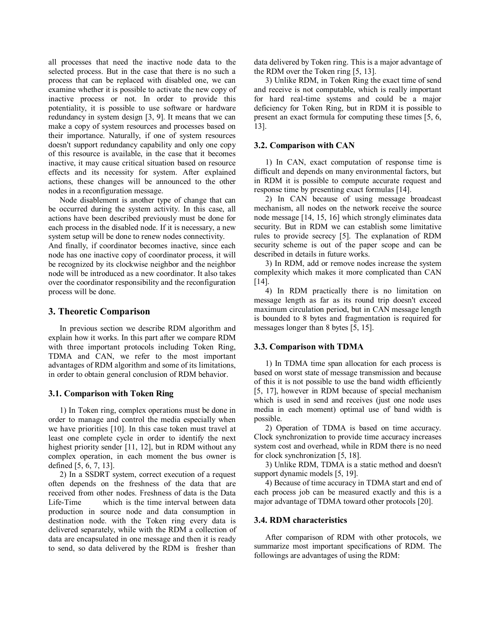all processes that need the inactive node data to the selected process. But in the case that there is no such a process that can be replaced with disabled one, we can examine whether it is possible to activate the new copy of inactive process or not. In order to provide this potentiality, it is possible to use software or hardware redundancy in system design [3, 9]. It means that we can make a copy of system resources and processes based on their importance. Naturally, if one of system resources doesn't support redundancy capability and only one copy of this resource is available, in the case that it becomes inactive, it may cause critical situation based on resource effects and its necessity for system. After explained actions, these changes will be announced to the other nodes in a reconfiguration message.

Node disablement is another type of change that can be occurred during the system activity. In this case, all actions have been described previously must be done for each process in the disabled node. If it is necessary, a new system setup will be done to renew nodes connectivity.

And finally, if coordinator becomes inactive, since each node has one inactive copy of coordinator process, it will be recognized by its clockwise neighbor and the neighbor node will be introduced as a new coordinator. It also takes over the coordinator responsibility and the reconfiguration process will be done.

#### **3. Theoretic Comparison**

In previous section we describe RDM algorithm and explain how it works. In this part after we compare RDM with three important protocols including Token Ring, TDMA and CAN, we refer to the most important advantages of RDM algorithm and some of its limitations, in order to obtain general conclusion of RDM behavior.

#### **3.1. Comparison with Token Ring**

1) In Token ring, complex operations must be done in order to manage and control the media especially when we have priorities [10]. In this case token must travel at least one complete cycle in order to identify the next highest priority sender [11, 12], but in RDM without any complex operation, in each moment the bus owner is defined [5, 6, 7, 13].

2) In a SSDRT system, correct execution of a request often depends on the freshness of the data that are received from other nodes. Freshness of data is the Data Life-Time which is the time interval between data production in source node and data consumption in destination node. with the Token ring every data is delivered separately, while with the RDM a collection of data are encapsulated in one message and then it is ready to send, so data delivered by the RDM is fresher than

data delivered by Token ring. This is a major advantage of the RDM over the Token ring [5, 13].

3) Unlike RDM, in Token Ring the exact time of send and receive is not computable, which is really important for hard real-time systems and could be a major deficiency for Token Ring, but in RDM it is possible to present an exact formula for computing these times [5, 6, 13].

#### **3.2. Comparison with CAN**

1) In CAN, exact computation of response time is difficult and depends on many environmental factors, but in RDM it is possible to compute accurate request and response time by presenting exact formulas [14].

2) In CAN because of using message broadcast mechanism, all nodes on the network receive the source node message [14, 15, 16] which strongly eliminates data security. But in RDM we can establish some limitative rules to provide secrecy [5]. The explanation of RDM security scheme is out of the paper scope and can be described in details in future works.

3) In RDM, add or remove nodes increase the system complexity which makes it more complicated than CAN [14].

4) In RDM practically there is no limitation on message length as far as its round trip doesn't exceed maximum circulation period, but in CAN message length is bounded to 8 bytes and fragmentation is required for messages longer than 8 bytes [5, 15].

#### **3.3. Comparison with TDMA**

1) In TDMA time span allocation for each process is based on worst state of message transmission and because of this it is not possible to use the band width efficiently [5, 17], however in RDM because of special mechanism which is used in send and receives (just one node uses media in each moment) optimal use of band width is possible.

2) Operation of TDMA is based on time accuracy. Clock synchronization to provide time accuracy increases system cost and overhead, while in RDM there is no need for clock synchronization [5, 18].

3) Unlike RDM, TDMA is a static method and doesn't support dynamic models [5, 19].

4) Because of time accuracy in TDMA start and end of each process job can be measured exactly and this is a major advantage of TDMA toward other protocols [20].

#### **3.4. RDM characteristics**

After comparison of RDM with other protocols, we summarize most important specifications of RDM. The followings are advantages of using the RDM: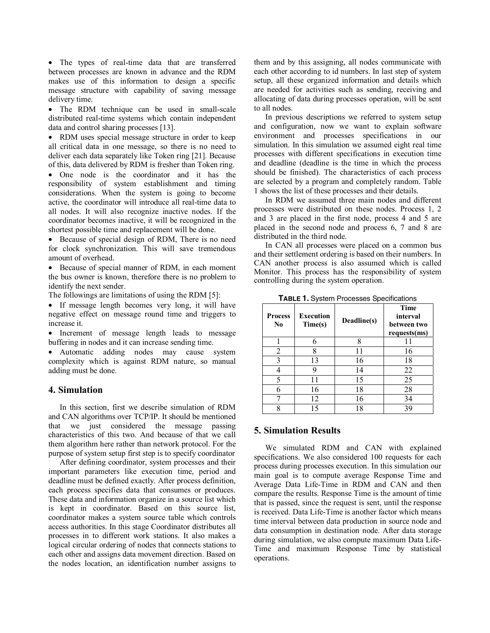• The types of real-time data that are transferred between processes are known in advance and the RDM makes use of this information to design a specific message structure with capability of saving message delivery time.

• The RDM technique can be used in small-scale distributed real-time systems which contain independent data and control sharing processes [13].

• RDM uses special message structure in order to keep all critical data in one message, so there is no need to deliver each data separately like Token ring [21]. Because of this, data delivered by RDM is fresher than Token ring.

• One node is the coordinator and it has the responsibility of system establishment and timing considerations. When the system is going to become active, the coordinator will introduce all real-time data to all nodes. It will also recognize inactive nodes. If the coordinator becomes inactive, it will be recognized in the shortest possible time and replacement will be done.

• Because of special design of RDM, There is no need for clock synchronization. This will save tremendous amount of overhead.

• Because of special manner of RDM, in each moment the bus owner is known, therefore there is no problem to identify the next sender.

The followings are limitations of using the RDM [5]:

• If message length becomes very long, it will have negative effect on message round time and triggers to increase it.

• Increment of message length leads to message buffering in nodes and it can increase sending time.

• Automatic adding nodes may cause system complexity which is against RDM nature, so manual adding must be done.

#### **4. Simulation**

In this section, first we describe simulation of RDM and CAN algorithms over TCP/IP. It should be mentioned that we just considered the message passing characteristics of this two. And because of that we call them algorithm here rather than network protocol. For the purpose of system setup first step is to specify coordinator

After defining coordinator, system processes and their important parameters like execution time, period and deadline must be defined exactly. After process definition, each process specifies data that consumes or produces. These data and information organize in a source list which is kept in coordinator. Based on this source list, coordinator makes a system source table which controls access authorities. In this stage Coordinator distributes all processes in to different work stations. It also makes a logical circular ordering of nodes that connects stations to each other and assigns data movement direction. Based on the nodes location, an identification number assigns to them and by this assigning, all nodes communicate with each other according to id numbers. In last step of system setup, all these organized information and details which are needed for activities such as sending, receiving and allocating of data during processes operation, will be sent to all nodes.

In previous descriptions we referred to system setup and configuration, now we want to explain software environment and processes specifications in our simulation. In this simulation we assumed eight real time processes with different specifications in execution time and deadline (deadline is the time in which the process should be finished). The characteristics of each process are selected by a program and completely random. Table 1 shows the list of these processes and their details.

In RDM we assumed three main nodes and different processes were distributed on these nodes. Process 1, 2 and 3 are placed in the first node, process 4 and 5 are placed in the second node and process 6, 7 and 8 are distributed in the third node.

In CAN all processes were placed on a common bus and their settlement ordering is based on their numbers. In CAN another process is also assumed which is called Monitor. This process has the responsibility of system controlling during the system operation.

| <b>Process</b><br>No | <b>Execution</b><br>Time(s) | Deadline(s) | <b>Time</b><br>interval<br>between two<br>requests(ms) |
|----------------------|-----------------------------|-------------|--------------------------------------------------------|
|                      |                             | o           | 11                                                     |
| 2                    | 8                           | 11          | 16                                                     |
| 3                    | 13                          | 16          | 18                                                     |
|                      |                             | 14          | 22                                                     |
| 5                    | 11                          | 15          | 25                                                     |
| 6                    | 16                          | 18          | 28                                                     |
|                      | 12                          | 16          | 34                                                     |
|                      | 15                          | 18          | зç                                                     |

**TABLE 1.** System Processes Specifications

## **5. Simulation Results**

We simulated RDM and CAN with explained specifications. We also considered 100 requests for each process during processes execution. In this simulation our main goal is to compute average Response Time and Average Data Life-Time in RDM and CAN and then compare the results. Response Time is the amount of time that is passed, since the request is sent, until the response is received. Data Life-Time is another factor which means time interval between data production in source node and data consumption in destination node. After data storage during simulation, we also compute maximum Data Life-Time and maximum Response Time by statistical operations.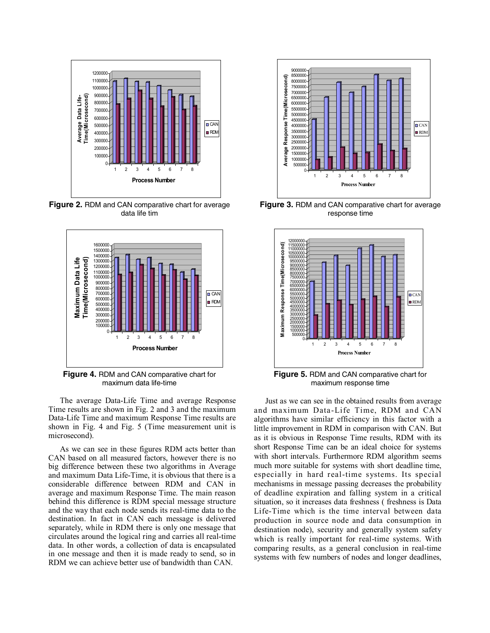

**Figure 2.** RDM and CAN comparative chart for average data life tim



**Figure 4.** RDM and CAN comparative chart for maximum data life-time

The average Data-Life Time and average Response Time results are shown in Fig. 2 and 3 and the maximum Data-Life Time and maximum Response Time results are shown in Fig. 4 and Fig. 5 (Time measurement unit is microsecond).

As we can see in these figures RDM acts better than CAN based on all measured factors, however there is no big difference between these two algorithms in Average and maximum Data Life-Time, it is obvious that there is a considerable difference between RDM and CAN in average and maximum Response Time. The main reason behind this difference is RDM special message structure and the way that each node sends its real-time data to the destination. In fact in CAN each message is delivered separately, while in RDM there is only one message that circulates around the logical ring and carries all real-time data. In other words, a collection of data is encapsulated in one message and then it is made ready to send, so in RDM we can achieve better use of bandwidth than CAN.



**Figure 3.** RDM and CAN comparative chart for average response time



**Figure 5.** RDM and CAN comparative chart for maximum response time

Just as we can see in the obtained results from average and maximum Data-Life Time, RDM and CAN algorithms have similar efficiency in this factor with a little improvement in RDM in comparison with CAN. But as it is obvious in Response Time results, RDM with its short Response Time can be an ideal choice for systems with short intervals. Furthermore RDM algorithm seems much more suitable for systems with short deadline time, especially in hard real-time systems. Its special mechanisms in message passing decreases the probability of deadline expiration and falling system in a critical situation, so it increases data freshness ( freshness is Data Life-Time which is the time interval between data production in source node and data consumption in destination node), security and generally system safety which is really important for real-time systems. With comparing results, as a general conclusion in real-time systems with few numbers of nodes and longer deadlines,